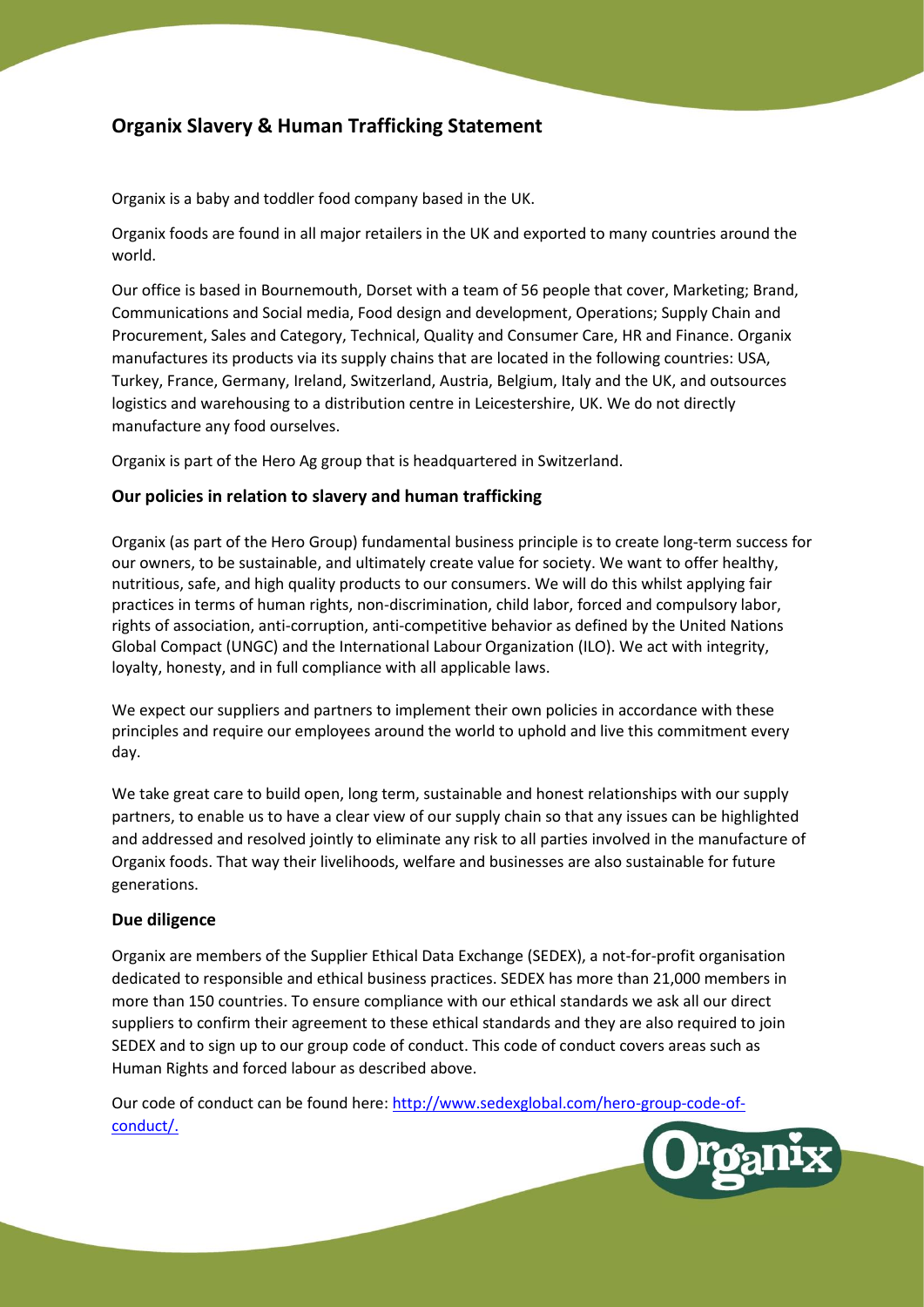# **Organix Slavery & Human Trafficking Statement**

Organix is a baby and toddler food company based in the UK.

Organix foods are found in all major retailers in the UK and exported to many countries around the world.

Our office is based in Bournemouth, Dorset with a team of 56 people that cover, Marketing; Brand, Communications and Social media, Food design and development, Operations; Supply Chain and Procurement, Sales and Category, Technical, Quality and Consumer Care, HR and Finance. Organix manufactures its products via its supply chains that are located in the following countries: USA, Turkey, France, Germany, Ireland, Switzerland, Austria, Belgium, Italy and the UK, and outsources logistics and warehousing to a distribution centre in Leicestershire, UK. We do not directly manufacture any food ourselves.

Organix is part of the Hero Ag group that is headquartered in Switzerland.

# **Our policies in relation to slavery and human trafficking**

Organix (as part of the Hero Group) fundamental business principle is to create long-term success for our owners, to be sustainable, and ultimately create value for society. We want to offer healthy, nutritious, safe, and high quality products to our consumers. We will do this whilst applying fair practices in terms of human rights, non-discrimination, child labor, forced and compulsory labor, rights of association, anti-corruption, anti-competitive behavior as defined by the United Nations Global Compact (UNGC) and the International Labour Organization (ILO). We act with integrity, loyalty, honesty, and in full compliance with all applicable laws.

We expect our suppliers and partners to implement their own policies in accordance with these principles and require our employees around the world to uphold and live this commitment every day.

We take great care to build open, long term, sustainable and honest relationships with our supply partners, to enable us to have a clear view of our supply chain so that any issues can be highlighted and addressed and resolved jointly to eliminate any risk to all parties involved in the manufacture of Organix foods. That way their livelihoods, welfare and businesses are also sustainable for future generations.

# **Due diligence**

Organix are members of the [Supplier Ethical Data Exchange \(SEDEX\)](http://www.sedexglobal.com/), a not-for-profit organisation dedicated to responsible and ethical business practices. SEDEX has more than 21,000 members in more than 150 countries. To ensure compliance with our ethical standards we ask all our direct suppliers to confirm their agreement to these ethical standards and they are also required to join SEDEX and to sign up to our group code of conduct. This code of conduct covers areas such as Human Rights and forced labour as described above.

Our code of conduct can be found here[: http://www.sedexglobal.com/hero-group-code-of](http://www.sedexglobal.com/hero-group-code-of-conduct/)[conduct/.](http://www.sedexglobal.com/hero-group-code-of-conduct/)